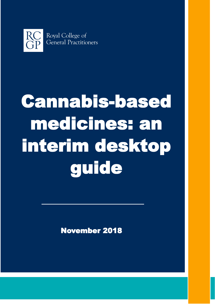

# Cannabis-based medicines: an interim desktop guide

November 2018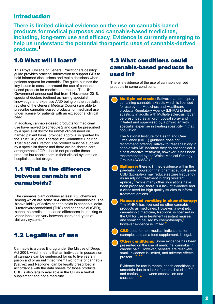## Introduction

**There is limited clinical evidence on the use on cannabis-based products for medical purposes and cannabis-based medicines, including, long-term use and efficacy. Evidence is currently emerging to help us understand the potential therapeutic uses of cannabis-derived products.<sup>1</sup>**

# 1.0 What will I learn?

This Royal College of General Practitioners desktop guide provides practical information to support GPs to hold informed discussions and make decisions when patients request for cannabis. The guide outlines the key issues to consider around the use of cannabisbased products for medicinal purposes. The UK Government announced that from 1 November 2018, specialist doctors (defined as having specialist knowledge and expertise AND being on the specialist register of the General Medical Council) are able to prescribe cannabis-based products for medicinal use under license for patients with an exceptional clinical need.

In addition, cannabis-based products for medicinal use have moved to schedule 2 and can be prescribed by a specialist doctor for unmet clinical need on named patient basis, provided approval is granted by the Trust Drug and Therapeutic Committee Chair or Trust Medical Director. The product must be supplied by a specialist doctor and there are no shared care arrangements.<sup>2</sup> GPs should not prescribe these products but record them in their clinical systems as hospital supplied drugs.

# 1.1 What is the difference between cannabis and cannaboids?

The cannabis plant contains at least 750 chemicals, among which are some 104 different cannabinoids. The bioavailability of active cannabinoids in cannabis, delta-9-tetrahydrocannabinol (THC) and cannabidiol (CBD), cannot be predicted because differences in smoking or vapor inhalation vary between users and types of delivery systems.**<sup>3</sup>**

# 1.2 Legalities of use

Cannabis is a class B drug under the Misuse of Drugs Act 2001, which means that an individual in possession of cannabis can be sentenced for up to five years in prison and or an unlimited fine.**<sup>4</sup>** Two forms of cannabis (Sativex and Nabilone) can be legally prescribed in accordance with the data sheets for those products. CBD is also legally available in the UK as a herbal supplement and not a medicine.

# 1.3 What conditions could cannabis-based products be used in?

There is evidence of the use of cannabis derived products in some conditions.

**Aultiple sclerosis:** Sativex is an oral spray containing cannabis extracts which is licensed for use by the Medicines and Healthcare products Regulatory Agency (MHRA) to treat spasticity in adults with Multiple sclerosis. It can be prescribed as an oromucosal spray and initiated and supervised by a physician with specialist expertise in treating spasticity in that population.

The National Institute for Health and Care Excellence (NICE) guidance does not recommend offering Sativex to treat spasticity in people with MS because they do not consider it a cost effective treatment, however, it has been recommended by the Wales Medical Strategy Group's (AWMSG).**<sup>5</sup>**

- **Epilepsy:** there is limited evidence within the paediatric population that pharmaceutical grade CBD (Epidiolex) may reduce seizure frequency as an adjunct treatment in drug resistant epilepsy.**<sup>6</sup>** While many other indications have been proposed, there is a lack of evidence and a clear need for high quality studies to inform treatment options.**<sup>7</sup>**
- **Nausea and vomiting in chemotherapy:** The MHRA has licensed no other cannabis products as medicines. However, a synthetic cannabinoid medicine, Nabilone, is licensed in the UK for use in treatment resistant nausea and vomiting caused by chemotherapy,**<sup>8</sup>** however evidence is limited.**<sup>9</sup>**
- 

 CBD used for non-medical indications, for example, sold as a food supplement, is legal.

**Other conditions:** Some evidence has been presented on the use of medicinal cannabis in chronic pain. However, benefits are relatively small, evidence is limited, and adverse effects present. **10 11 12**

Evidence for use in mental health conditions is uncertain due to a lack of, or small studies<sup>1</sup> and confusion between association and causation.<sup>1</sup>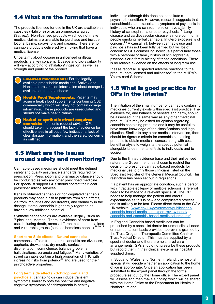# 1.4 What are the formulations

The products licensed for use in the UK are available as capsules (Nabilone) or as an oromucosal spray (Sativex). Non-licensed products which do not make medical claims are available for purchase and include lotions, balms, sprays, oils and creams. There are no cannabis products delivered by smoking that have a medical license.

Uncertainty about dosage in unlicensed or illegal products is a key concern. Dosage and bio-availability will vary according to inhalation/ ingestion, as well as strength and purity of the product.

**Consed medications:** For the legally available prescribable medicines (Sativex and Nabilone) prescription information about dosage is available on the data sheets.

**Health Food Supplements.** Patients may acquire health food supplements containing CBD commercially which will likely not contain dosage information. These products are unregulated and should not make health claims.

**A** Herbal or synthetic street acquired **cannabis:** If patients request advice, GPs should take into account the lack of evidence for effectiveness in all but a few indications, lack of clear dosage information, and the safety concerns as outlined.

## 1.5 What are the issues around safety and monitoring?

Cannabis-based medicines should meet the defined safety and quality assurance standards required for prescription. Prescription and pharmacovigilance should be conducted as with any other prescribed medicine. For specialist support GPs should contact their local prescriber advice services.

Illegally obtained cannabis or non-regulated cannabis products may pose a risk to patients from side effects, via from impurities and adulterants, and variability in the dosage. Herbal cannabis is generally regarded as having a low addiction potential.**17 18**

Synthetic cannabinoids are available illegally, such as 'Spice' and 'Mamba'. There is evidence of harm from use, including death, across different patient populations and vulnerable groups (such as homeless people).**19 20 21**

#### **Short term Side effects - Natural cannabis:**

commonest effects from natural cannabis are dizziness, euphoria, drowsiness, dry mouth, confusion, disorientation, somnolence, balance problems, hallucinations, paranoia and fatigue.**<sup>22</sup>** Many varieties of street cannabis contain a high proportion of THC with increasing risks from potency**<sup>23</sup>** and are used for their psychoactive properties.

#### **Long term side effects - Schizophrenia and**

**psychosis:** cannabinoids can induce transient symptoms similar to both the positive and negative cognitive symptoms of schizophrenia in healthy

individuals although this does not constitute a psychiatric condition. However, research suggests that cannabinoids can exacerbate symptoms of psychosis in individuals who are schizophrenic or have a family history of schizophrenia or other psychosis.<sup>24</sup> Lung disease and cardiovascular disease is more common in people smoking herbal cannabis. In utero exposure is of concern.**<sup>25</sup>** A causal link between cannabis use and psychosis has not been fully verified but will be of concern to GPs counselling individuals particularly those with a personal or family history of schizophrenia/ psychosis or a family history of those conditions. There is no reliable evidence on the effects of long term use.

Please report all suspected adverse reactions to the product (both licensed and unlicensed) to the MHRA's Yellow card Scheme.

## 1.6 What is good practice for GPs in the interim?

The initiation of the small number of cannabis containing medicines currently exists within specialist practice. The evidence for, and balance of benefits and harm, should be assessed in the same way as any other medicinal product. GPs may be asked for opinion regarding cannabis containing products and it may be useful to have some knowledge of the classifications and legal situation. Similar to any other medical intervention, there should be rigorous criteria for cannabis containing products to obtain medical licenses along with costbenefit analysis to weigh its therapeutic potential alongside its detrimental effects to individuals and to society.

Due to the limited evidence base and their unlicensed nature, the Government has chosen to restrict the decision to prescribe cannabis-based products for medicinal use to only those clinicians listed on the Specialist Register of the General Medical Council. This restriction has been set out in regulations.

If a patient has an appropriate condition, such a person with intractable epilepsy or multiple sclerosis, a referral needs to be made to a relevant specialist. The GP needs to help manage the patient and carers' expectations as this is new and complicated process and is unlikely to be fast. Please direct them to the GOV UK website. [\(www.gov.uk/government/publications/](http://www.gov.uk/government/publications/cannabis-based-medicines-expert-review-panel/cannabis-and-cannabis-based-medicinal-products) cannabis-based-[medicines](http://www.gov.uk/government/publications/cannabis-based-medicines-expert-review-panel/cannabis-and-cannabis-based-medicinal-products)-expert-review-panel/ cannabis-and-cannabis-based-[medicinal](http://www.gov.uk/government/publications/cannabis-based-medicines-expert-review-panel/cannabis-and-cannabis-based-medicinal-products)-products)

In England Cannabis based medicines can be prescribed by a specialist doctor for unmet clinical need on named patient basis provided approval is granted by the Trust Drug and Therapeutic Committee Chair or Trust Medical Director. This must be supplied by a specialist doctor and there are no shared care arrangements. GPs should not prescribe these products but record them in their clinical systems as hospital supplied drugs.

In Scotland, Wales, and Northern Ireland, the hospital specialist will decide whether an application to the home office is appropriate. Once an application has been submitted to the expert panel through the formal procedure set out by the Home office. The expert panel will assess and then make a finding which will be shared with the Home Office or the Department for Health in Northern Ireland.